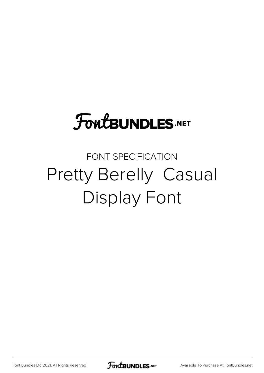## **FoutBUNDLES.NET**

## FONT SPECIFICATION Pretty Berelly Casual Display Font

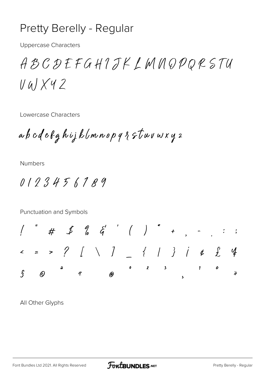## **Pretty Berelly - Regular**

**Uppercase Characters** 

ABCDEFGHIJKLMNQPQRSTU  $V$ al X42

Lowercase Characters

ab cdefghijk (mnopq&stuvwxy2

**Numbers** 

0123456189

Punctuation and Symbols  $\epsilon$  = > ? [ \ ] { | } | & £ 4  $0$  2 3  $\mathbf{1}$  $\pmb{o}$  $\hat{\S}$  $\varOmega$  $\overline{\mathcal{R}}$  $\lambda$ (ค)

All Other Glyphs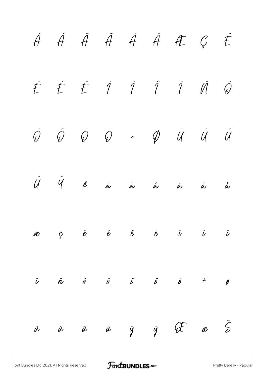